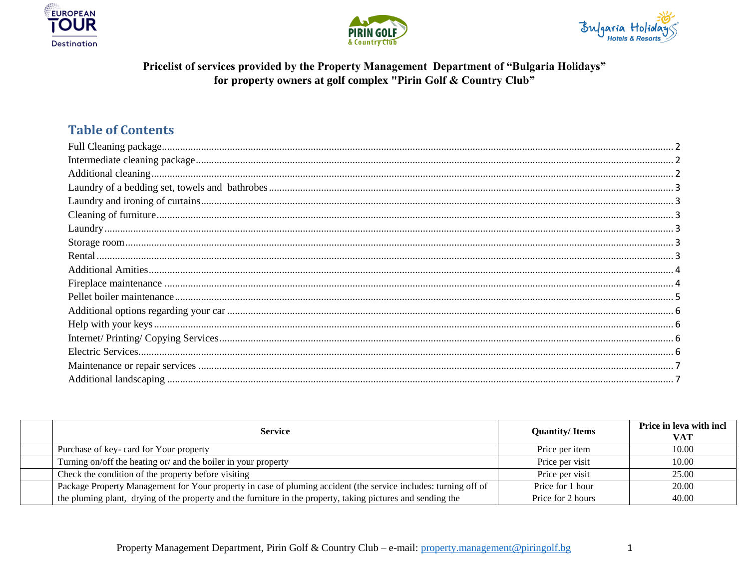





## Pricelist of services provided by the Property Management Department of "Bulgaria Holidays" for property owners at golf complex "Pirin Golf & Country Club"

## **Table of Contents**

| <b>Service</b>                                                                                                  | <b>Quantity/Items</b> | Price in leva with incl<br>VAT |
|-----------------------------------------------------------------------------------------------------------------|-----------------------|--------------------------------|
| Purchase of key- card for Your property                                                                         | Price per item        | 10.00                          |
| Turning on/off the heating or/ and the boiler in your property                                                  | Price per visit       | 10.00                          |
| Check the condition of the property before visiting                                                             | Price per visit       | 25.00                          |
| Package Property Management for Your property in case of pluming accident (the service includes: turning off of | Price for 1 hour      | 20.00                          |
| the pluming plant, drying of the property and the furniture in the property, taking pictures and sending the    | Price for 2 hours     | 40.00                          |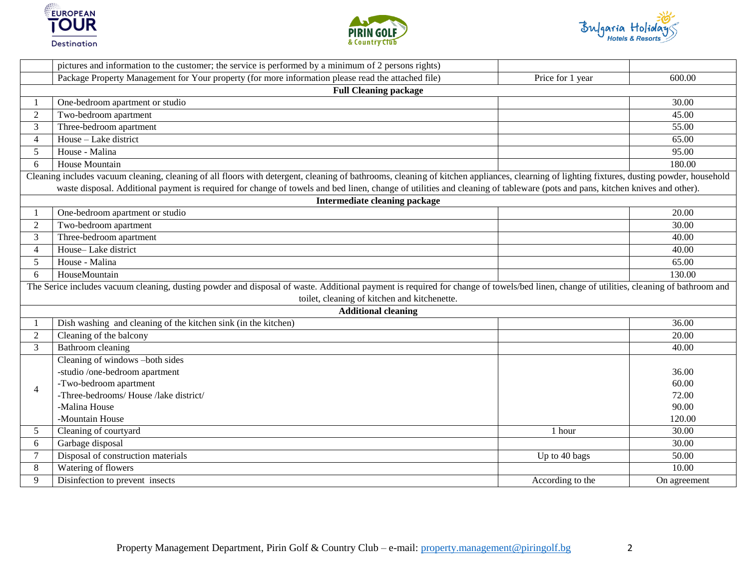





<span id="page-1-2"></span><span id="page-1-1"></span><span id="page-1-0"></span>

|                                              | pictures and information to the customer; the service is performed by a minimum of 2 persons rights)                                                                                                                                                                                                                                                                      |                  |              |  |  |
|----------------------------------------------|---------------------------------------------------------------------------------------------------------------------------------------------------------------------------------------------------------------------------------------------------------------------------------------------------------------------------------------------------------------------------|------------------|--------------|--|--|
|                                              | Package Property Management for Your property (for more information please read the attached file)                                                                                                                                                                                                                                                                        | Price for 1 year | 600.00       |  |  |
|                                              | <b>Full Cleaning package</b>                                                                                                                                                                                                                                                                                                                                              |                  |              |  |  |
|                                              | One-bedroom apartment or studio                                                                                                                                                                                                                                                                                                                                           |                  | 30.00        |  |  |
| 2                                            | Two-bedroom apartment                                                                                                                                                                                                                                                                                                                                                     |                  | 45.00        |  |  |
| 3                                            | Three-bedroom apartment                                                                                                                                                                                                                                                                                                                                                   |                  | 55.00        |  |  |
| $\overline{4}$                               | House - Lake district                                                                                                                                                                                                                                                                                                                                                     |                  | 65.00        |  |  |
| 5                                            | House - Malina                                                                                                                                                                                                                                                                                                                                                            |                  | 95.00        |  |  |
| 6                                            | House Mountain                                                                                                                                                                                                                                                                                                                                                            |                  | 180.00       |  |  |
|                                              | Cleaning includes vacuum cleaning, cleaning of all floors with detergent, cleaning of bathrooms, cleaning of kitchen appliances, clearning of lighting fixtures, dusting powder, household<br>waste disposal. Additional payment is required for change of towels and bed linen, change of utilities and cleaning of tableware (pots and pans, kitchen knives and other). |                  |              |  |  |
|                                              | Intermediate cleaning package                                                                                                                                                                                                                                                                                                                                             |                  |              |  |  |
|                                              | One-bedroom apartment or studio                                                                                                                                                                                                                                                                                                                                           |                  | 20.00        |  |  |
| $\overline{2}$                               | Two-bedroom apartment                                                                                                                                                                                                                                                                                                                                                     |                  | 30.00        |  |  |
| 3                                            | Three-bedroom apartment                                                                                                                                                                                                                                                                                                                                                   |                  | 40.00        |  |  |
| $\overline{4}$                               | House-Lake district                                                                                                                                                                                                                                                                                                                                                       |                  | 40.00        |  |  |
| $\mathfrak{H}$                               | House - Malina                                                                                                                                                                                                                                                                                                                                                            |                  | 65.00        |  |  |
| 6                                            | HouseMountain                                                                                                                                                                                                                                                                                                                                                             |                  | 130.00       |  |  |
|                                              | The Serice includes vacuum cleaning, dusting powder and disposal of waste. Additional payment is required for change of towels/bed linen, change of utilities, cleaning of bathroom and                                                                                                                                                                                   |                  |              |  |  |
| toilet, cleaning of kitchen and kitchenette. |                                                                                                                                                                                                                                                                                                                                                                           |                  |              |  |  |
|                                              | <b>Additional cleaning</b>                                                                                                                                                                                                                                                                                                                                                |                  |              |  |  |
|                                              | Dish washing and cleaning of the kitchen sink (in the kitchen)                                                                                                                                                                                                                                                                                                            |                  | 36.00        |  |  |
| 2                                            | Cleaning of the balcony                                                                                                                                                                                                                                                                                                                                                   |                  | 20.00        |  |  |
| 3                                            | Bathroom cleaning                                                                                                                                                                                                                                                                                                                                                         |                  | 40.00        |  |  |
|                                              | Cleaning of windows -both sides                                                                                                                                                                                                                                                                                                                                           |                  |              |  |  |
|                                              | -studio /one-bedroom apartment                                                                                                                                                                                                                                                                                                                                            |                  | 36.00        |  |  |
| $\overline{4}$                               | -Two-bedroom apartment                                                                                                                                                                                                                                                                                                                                                    |                  | 60.00        |  |  |
|                                              | -Three-bedrooms/House /lake district/                                                                                                                                                                                                                                                                                                                                     |                  | 72.00        |  |  |
|                                              | -Malina House                                                                                                                                                                                                                                                                                                                                                             |                  | 90.00        |  |  |
|                                              | -Mountain House                                                                                                                                                                                                                                                                                                                                                           |                  | 120.00       |  |  |
| 5                                            | Cleaning of courtyard                                                                                                                                                                                                                                                                                                                                                     | 1 hour           | 30.00        |  |  |
| 6                                            | Garbage disposal                                                                                                                                                                                                                                                                                                                                                          |                  | 30.00        |  |  |
| $\tau$                                       | Disposal of construction materials                                                                                                                                                                                                                                                                                                                                        | Up to 40 bags    | 50.00        |  |  |
| 8                                            | Watering of flowers                                                                                                                                                                                                                                                                                                                                                       |                  | 10.00        |  |  |
| 9                                            | Disinfection to prevent insects                                                                                                                                                                                                                                                                                                                                           | According to the | On agreement |  |  |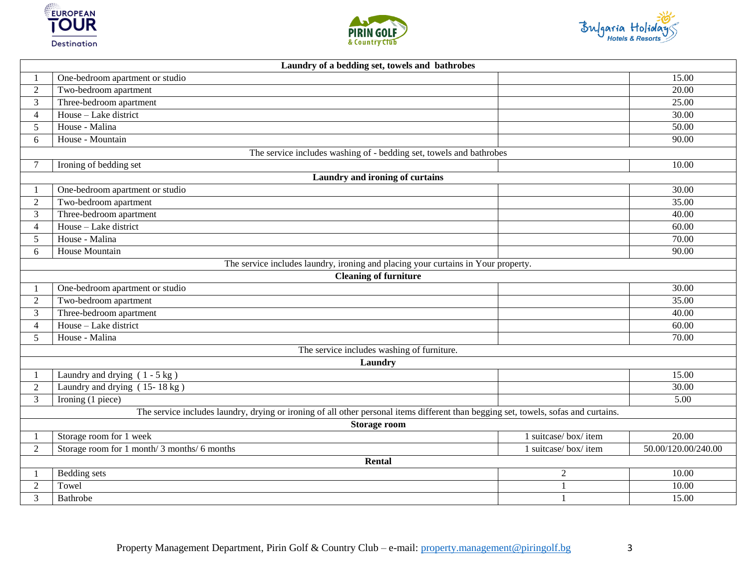





<span id="page-2-5"></span><span id="page-2-4"></span><span id="page-2-3"></span><span id="page-2-2"></span><span id="page-2-1"></span><span id="page-2-0"></span>

|                     | Laundry of a bedding set, towels and bathrobes                                                                                      |                     |                     |  |  |
|---------------------|-------------------------------------------------------------------------------------------------------------------------------------|---------------------|---------------------|--|--|
|                     | One-bedroom apartment or studio                                                                                                     |                     | 15.00               |  |  |
| $\overline{2}$      | Two-bedroom apartment                                                                                                               |                     | 20.00               |  |  |
| 3                   | Three-bedroom apartment                                                                                                             |                     | 25.00               |  |  |
| $\overline{4}$      | House - Lake district                                                                                                               |                     | 30.00               |  |  |
| 5                   | House - Malina                                                                                                                      |                     | 50.00               |  |  |
| 6                   | House - Mountain                                                                                                                    |                     | 90.00               |  |  |
|                     | The service includes washing of - bedding set, towels and bathrobes                                                                 |                     |                     |  |  |
|                     | Ironing of bedding set                                                                                                              |                     | 10.00               |  |  |
|                     | Laundry and ironing of curtains                                                                                                     |                     |                     |  |  |
| $\mathbf{1}$        | One-bedroom apartment or studio                                                                                                     |                     | 30.00               |  |  |
| $\overline{2}$      | Two-bedroom apartment                                                                                                               |                     | 35.00               |  |  |
| 3                   | Three-bedroom apartment                                                                                                             |                     | 40.00               |  |  |
| $\overline{4}$      | House - Lake district                                                                                                               |                     | 60.00               |  |  |
| 5                   | House - Malina                                                                                                                      |                     | 70.00               |  |  |
| 6                   | House Mountain                                                                                                                      |                     | 90.00               |  |  |
|                     | The service includes laundry, ironing and placing your curtains in Your property.                                                   |                     |                     |  |  |
|                     | <b>Cleaning of furniture</b>                                                                                                        |                     |                     |  |  |
|                     | One-bedroom apartment or studio                                                                                                     |                     | 30.00               |  |  |
| $\overline{2}$      | Two-bedroom apartment                                                                                                               |                     | 35.00               |  |  |
| 3                   | Three-bedroom apartment                                                                                                             |                     | 40.00               |  |  |
| $\overline{4}$      | House - Lake district                                                                                                               |                     | 60.00               |  |  |
| 5                   | House - Malina                                                                                                                      |                     | 70.00               |  |  |
|                     | The service includes washing of furniture.                                                                                          |                     |                     |  |  |
|                     | Laundry                                                                                                                             |                     |                     |  |  |
|                     | Laundry and drying $(1 - 5 \text{ kg})$                                                                                             |                     | 15.00               |  |  |
| $\overline{2}$      | Laundry and drying (15-18 kg)                                                                                                       |                     | 30.00               |  |  |
| $\overline{3}$      | Ironing (1 piece)                                                                                                                   |                     | 5.00                |  |  |
|                     | The service includes laundry, drying or ironing of all other personal items different than begging set, towels, sofas and curtains. |                     |                     |  |  |
| <b>Storage room</b> |                                                                                                                                     |                     |                     |  |  |
|                     | Storage room for 1 week                                                                                                             | 1 suitcase/box/item | 20.00               |  |  |
| $\overline{2}$      | Storage room for 1 month/ 3 months/ 6 months                                                                                        | 1 suitcase/box/item | 50.00/120.00/240.00 |  |  |
| Rental              |                                                                                                                                     |                     |                     |  |  |
|                     | Bedding sets                                                                                                                        | $\overline{2}$      | 10.00               |  |  |
| 2                   | Towel                                                                                                                               |                     | 10.00               |  |  |
| 3                   | Bathrobe                                                                                                                            | $\mathbf{1}$        | 15.00               |  |  |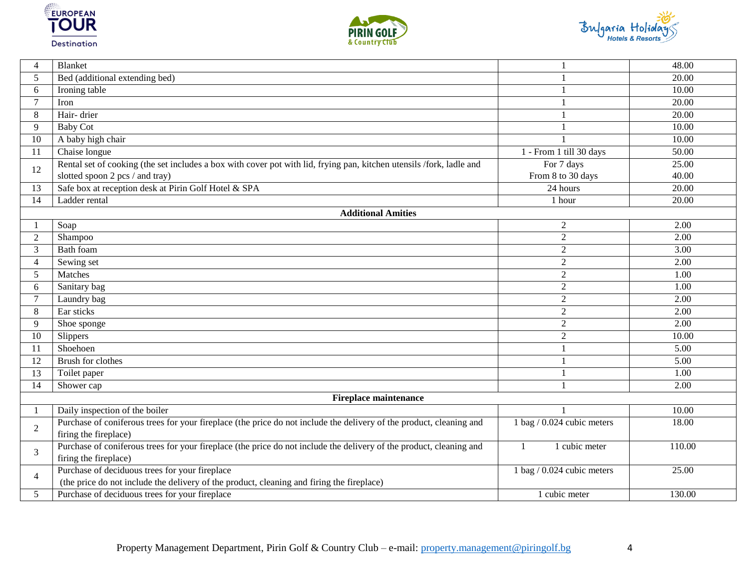





<span id="page-3-1"></span><span id="page-3-0"></span>

| 4               | <b>Blanket</b>                                                                                                       |                              | 48.00             |
|-----------------|----------------------------------------------------------------------------------------------------------------------|------------------------------|-------------------|
| 5               | Bed (additional extending bed)                                                                                       |                              | 20.00             |
| 6               | Ironing table                                                                                                        |                              | 10.00             |
| $\tau$          | Iron                                                                                                                 |                              | 20.00             |
| 8               | Hair-drier                                                                                                           |                              | 20.00             |
| 9               | <b>Baby Cot</b>                                                                                                      |                              | 10.00             |
| 10              | A baby high chair                                                                                                    |                              | 10.00             |
| 11              | Chaise longue                                                                                                        | 1 - From 1 till 30 days      | 50.00             |
| 12              | Rental set of cooking (the set includes a box with cover pot with lid, frying pan, kitchen utensils /fork, ladle and | For 7 days                   | 25.00             |
|                 | slotted spoon 2 pcs / and tray)                                                                                      | From 8 to 30 days            | 40.00             |
| 13              | Safe box at reception desk at Pirin Golf Hotel & SPA                                                                 | 24 hours                     | 20.00             |
| $\overline{14}$ | Ladder rental                                                                                                        | 1 hour                       | 20.00             |
|                 | <b>Additional Amities</b>                                                                                            |                              |                   |
|                 | Soap                                                                                                                 | $\overline{c}$               | 2.00              |
| $\overline{2}$  | Shampoo                                                                                                              | $\overline{2}$               | 2.00              |
| 3               | <b>Bath</b> foam                                                                                                     | $\overline{2}$               | $\overline{3.00}$ |
| 4               | Sewing set                                                                                                           | $\overline{2}$               | 2.00              |
| 5               | Matches                                                                                                              | $\sqrt{2}$                   | 1.00              |
| 6               | Sanitary bag                                                                                                         | $\overline{2}$               | 1.00              |
| 7               | Laundry bag                                                                                                          | $\overline{2}$               | 2.00              |
| 8               | Ear sticks                                                                                                           | $\overline{2}$               | 2.00              |
| 9               | Shoe sponge                                                                                                          | $\overline{2}$               | 2.00              |
| 10              | Slippers                                                                                                             | $\overline{2}$               | 10.00             |
| 11              | Shoehoen                                                                                                             |                              | 5.00              |
| 12              | Brush for clothes                                                                                                    |                              | 5.00              |
| 13              | Toilet paper                                                                                                         |                              | 1.00              |
| 14              | Shower cap                                                                                                           |                              | 2.00              |
|                 | <b>Fireplace maintenance</b>                                                                                         |                              |                   |
|                 | Daily inspection of the boiler                                                                                       |                              | 10.00             |
| 2               | Purchase of coniferous trees for your fireplace (the price do not include the delivery of the product, cleaning and  | 1 bag $/$ 0.024 cubic meters | 18.00             |
|                 | firing the fireplace)                                                                                                |                              |                   |
| 3               | Purchase of coniferous trees for your fireplace (the price do not include the delivery of the product, cleaning and  | 1 cubic meter<br>1           | 110.00            |
|                 | firing the fireplace)                                                                                                |                              |                   |
| $\overline{4}$  | Purchase of deciduous trees for your fireplace                                                                       | 1 bag $/$ 0.024 cubic meters | 25.00             |
|                 | (the price do not include the delivery of the product, cleaning and firing the fireplace)                            |                              |                   |
| 5               | Purchase of deciduous trees for your fireplace                                                                       | 1 cubic meter                | 130.00            |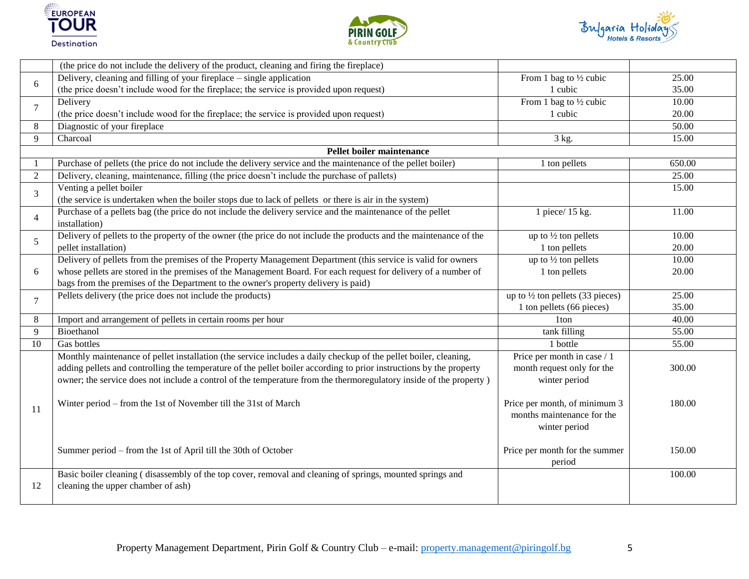





<span id="page-4-0"></span>

|                | (the price do not include the delivery of the product, cleaning and firing the fireplace)                           |                                             |        |
|----------------|---------------------------------------------------------------------------------------------------------------------|---------------------------------------------|--------|
| 6              | Delivery, cleaning and filling of your fireplace – single application                                               | From 1 bag to $\frac{1}{2}$ cubic           | 25.00  |
|                | (the price doesn't include wood for the fireplace; the service is provided upon request)                            | 1 cubic                                     | 35.00  |
|                | Delivery                                                                                                            | From 1 bag to 1/2 cubic                     | 10.00  |
| 7              | (the price doesn't include wood for the fireplace; the service is provided upon request)                            | 1 cubic                                     | 20.00  |
| 8              | Diagnostic of your fireplace                                                                                        |                                             | 50.00  |
| 9              | Charcoal                                                                                                            | 3 kg.                                       | 15.00  |
|                | Pellet boiler maintenance                                                                                           |                                             |        |
|                | Purchase of pellets (the price do not include the delivery service and the maintenance of the pellet boiler)        | 1 ton pellets                               | 650.00 |
| 2              | Delivery, cleaning, maintenance, filling (the price doesn't include the purchase of pallets)                        |                                             | 25.00  |
| 3              | Venting a pellet boiler                                                                                             |                                             | 15.00  |
|                | (the service is undertaken when the boiler stops due to lack of pellets or there is air in the system)              |                                             |        |
| $\overline{4}$ | Purchase of a pellets bag (the price do not include the delivery service and the maintenance of the pellet          | 1 piece/ 15 kg.                             | 11.00  |
|                | installation)                                                                                                       |                                             |        |
| 5              | Delivery of pellets to the property of the owner (the price do not include the products and the maintenance of the  | up to 1/2 ton pellets                       | 10.00  |
|                | pellet installation)                                                                                                | 1 ton pellets                               | 20.00  |
|                | Delivery of pellets from the premises of the Property Management Department (this service is valid for owners       | up to $\frac{1}{2}$ ton pellets             | 10.00  |
| 6              | whose pellets are stored in the premises of the Management Board. For each request for delivery of a number of      | 1 ton pellets                               | 20.00  |
|                | bags from the premises of the Department to the owner's property delivery is paid)                                  |                                             |        |
| $\tau$         | Pellets delivery (the price does not include the products)                                                          | up to $\frac{1}{2}$ ton pellets (33 pieces) | 25.00  |
|                |                                                                                                                     | 1 ton pellets (66 pieces)                   | 35.00  |
| 8              | Import and arrangement of pellets in certain rooms per hour                                                         | 1 <sub>ton</sub>                            | 40.00  |
| 9              | Bioethanol                                                                                                          | tank filling                                | 55.00  |
| 10             | Gas bottles                                                                                                         | 1 bottle                                    | 55.00  |
|                | Monthly maintenance of pellet installation (the service includes a daily checkup of the pellet boiler, cleaning,    | Price per month in case / 1                 |        |
|                | adding pellets and controlling the temperature of the pellet boiler according to prior instructions by the property | month request only for the                  | 300.00 |
|                | owner; the service does not include a control of the temperature from the thermoregulatory inside of the property)  | winter period                               |        |
|                |                                                                                                                     |                                             |        |
| 11             | Winter period – from the 1st of November till the 31st of March                                                     | Price per month, of minimum 3               | 180.00 |
|                |                                                                                                                     | months maintenance for the                  |        |
|                |                                                                                                                     | winter period                               |        |
|                |                                                                                                                     |                                             |        |
|                | Summer period – from the 1st of April till the 30th of October                                                      | Price per month for the summer              | 150.00 |
|                |                                                                                                                     | period                                      |        |
|                | Basic boiler cleaning (disassembly of the top cover, removal and cleaning of springs, mounted springs and           |                                             | 100.00 |
| 12             | cleaning the upper chamber of ash)                                                                                  |                                             |        |
|                |                                                                                                                     |                                             |        |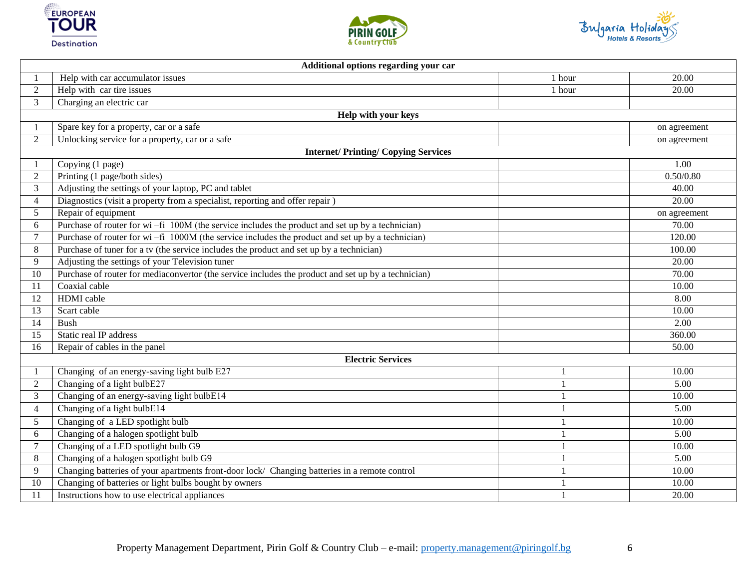





<span id="page-5-3"></span><span id="page-5-2"></span><span id="page-5-1"></span><span id="page-5-0"></span>

|                 | Additional options regarding your car                                                                |                |              |  |  |
|-----------------|------------------------------------------------------------------------------------------------------|----------------|--------------|--|--|
|                 | Help with car accumulator issues                                                                     | 1 hour         | 20.00        |  |  |
| $\overline{2}$  | Help with car tire issues                                                                            | 1 hour         | 20.00        |  |  |
| 3               | Charging an electric car                                                                             |                |              |  |  |
|                 | Help with your keys                                                                                  |                |              |  |  |
|                 | Spare key for a property, car or a safe                                                              |                | on agreement |  |  |
| $\overline{2}$  | Unlocking service for a property, car or a safe                                                      |                | on agreement |  |  |
|                 | <b>Internet/Printing/Copying Services</b>                                                            |                |              |  |  |
|                 | Copying (1 page)                                                                                     |                | 1.00         |  |  |
| 2               | Printing (1 page/both sides)                                                                         |                | 0.50/0.80    |  |  |
| 3               | Adjusting the settings of your laptop, PC and tablet                                                 |                | 40.00        |  |  |
| $\overline{4}$  | Diagnostics (visit a property from a specialist, reporting and offer repair)                         |                | 20.00        |  |  |
| 5               | Repair of equipment                                                                                  |                | on agreement |  |  |
| 6               | Purchase of router for wi-fi 100M (the service includes the product and set up by a technician)      |                | 70.00        |  |  |
| $\tau$          | Purchase of router for wi $-$ fi 1000M (the service includes the product and set up by a technician) |                | 120.00       |  |  |
| 8               | Purchase of tuner for a tv (the service includes the product and set up by a technician)             |                | 100.00       |  |  |
| 9               | Adjusting the settings of your Television tuner                                                      |                | 20.00        |  |  |
| 10              | Purchase of router for mediaconvertor (the service includes the product and set up by a technician)  |                | 70.00        |  |  |
| 11              | Coaxial cable                                                                                        |                | 10.00        |  |  |
| 12              | HDMI cable                                                                                           |                | 8.00         |  |  |
| 13              | Scart cable                                                                                          |                | 10.00        |  |  |
| 14              | <b>Bush</b>                                                                                          |                | 2.00         |  |  |
| 15              | Static real IP address                                                                               |                | 360.00       |  |  |
| $\overline{16}$ | Repair of cables in the panel                                                                        |                | 50.00        |  |  |
|                 | <b>Electric Services</b>                                                                             |                |              |  |  |
|                 | Changing of an energy-saving light bulb E27                                                          |                | 10.00        |  |  |
| $\overline{2}$  | Changing of a light bulbE27                                                                          |                | 5.00         |  |  |
| $\overline{3}$  | Changing of an energy-saving light bulbE14                                                           | $\overline{1}$ | 10.00        |  |  |
| $\overline{4}$  | Changing of a light bulbE14                                                                          | $\mathbf{1}$   | 5.00         |  |  |
| $5\overline{)}$ | Changing of a LED spotlight bulb                                                                     | $\mathbf{1}$   | 10.00        |  |  |
| 6               | Changing of a halogen spotlight bulb                                                                 | $\mathbf{1}$   | 5.00         |  |  |
| $\tau$          | Changing of a LED spotlight bulb G9                                                                  | $\overline{1}$ | 10.00        |  |  |
| 8               | Changing of a halogen spotlight bulb G9                                                              |                | 5.00         |  |  |
| 9               | Changing batteries of your apartments front-door lock/ Changing batteries in a remote control        |                | 10.00        |  |  |
| 10              | Changing of batteries or light bulbs bought by owners                                                |                | 10.00        |  |  |
| 11              | Instructions how to use electrical appliances                                                        |                | 20.00        |  |  |